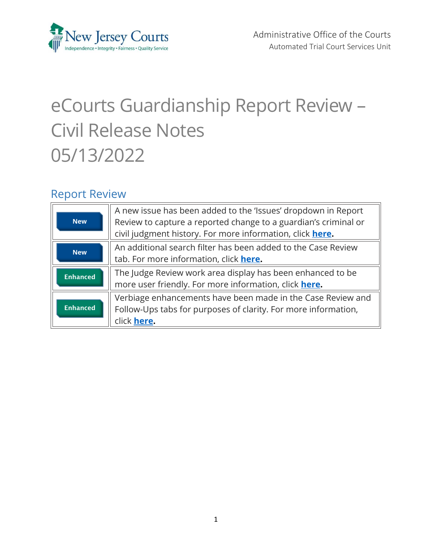<span id="page-0-0"></span>

# eCourts Guardianship Report Review – Civil Release Notes 05/13/2022

### Report Review

| <b>New</b>      | A new issue has been added to the 'Issues' dropdown in Report<br>Review to capture a reported change to a guardian's criminal or<br>civil judgment history. For more information, click here. |
|-----------------|-----------------------------------------------------------------------------------------------------------------------------------------------------------------------------------------------|
| <b>New</b>      | An additional search filter has been added to the Case Review<br>tab. For more information, click here.                                                                                       |
| <b>Enhanced</b> | The Judge Review work area display has been enhanced to be<br>more user friendly. For more information, click here.                                                                           |
| <b>Enhanced</b> | Verbiage enhancements have been made in the Case Review and<br>Follow-Ups tabs for purposes of clarity. For more information,<br>click here.                                                  |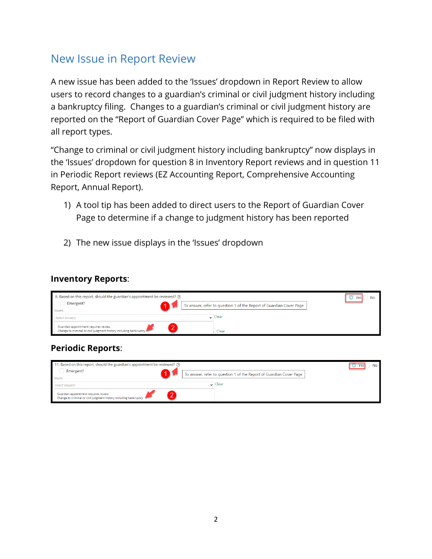# <span id="page-1-0"></span>New Issue in Report Review

A new issue has been added to the 'Issues' dropdown in Report Review to allow users to record changes to a guardian's criminal or civil judgment history including a bankruptcy filing. Changes to a guardian's criminal or civil judgment history are reported on the "Report of Guardian Cover Page" which is required to be filed with all report types.

"Change to criminal or civil judgment history including bankruptcy" now displays in the 'Issues' dropdown for question 8 in Inventory Report reviews and in question 11 in Periodic Report reviews (EZ Accounting Report, Comprehensive Accounting Report, Annual Report).

- 1) A tool tip has been added to direct users to the Report of Guardian Cover Page to determine if a change to judgment history has been reported
- 2) The new issue displays in the 'Issues' dropdown

#### **Inventory Reports**:

| 8. Based on this report, should the guardian's appointment be reviewed? ?                                 | Yes                                                                 |  |
|-----------------------------------------------------------------------------------------------------------|---------------------------------------------------------------------|--|
| Emergent?                                                                                                 | To answer, refer to question 1 of the Report of Guardian Cover Page |  |
| <b>Issues</b>                                                                                             |                                                                     |  |
| Select Issue(s)                                                                                           | $\backsim$ Clear                                                    |  |
| Guardian appointment requires review<br>Change to criminal or civil judgment history including bankruptcy | Clear                                                               |  |

### **Periodic Reports**:

| 11. Based on this report, should the guardian's appointment be reviewed? ?                                |                    |                                                                     | No |
|-----------------------------------------------------------------------------------------------------------|--------------------|---------------------------------------------------------------------|----|
| Emergent?<br><b>Issues</b>                                                                                |                    | To answer, refer to question 1 of the Report of Guardian Cover Page |    |
| Select Issue(s)                                                                                           | $\mathsf{U}$ Clear |                                                                     |    |
| Guardian appointment requires review<br>Change to criminal or civil judgment history including bankruptcy |                    |                                                                     |    |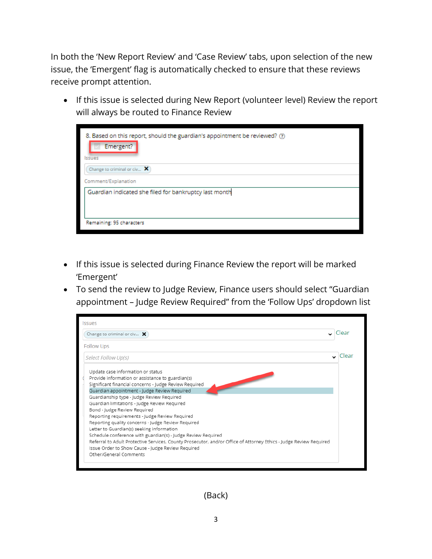In both the 'New Report Review' and 'Case Review' tabs, upon selection of the new issue, the 'Emergent' flag is automatically checked to ensure that these reviews receive prompt attention.

• If this issue is selected during New Report (volunteer level) Review the report will always be routed to Finance Review

| 8. Based on this report, should the guardian's appointment be reviewed? (?)<br>Emergent? |  |  |  |  |  |
|------------------------------------------------------------------------------------------|--|--|--|--|--|
| <b>Issues</b>                                                                            |  |  |  |  |  |
| Change to criminal or civ $\bm{X}$                                                       |  |  |  |  |  |
| Comment/Explanation                                                                      |  |  |  |  |  |
| Guardian indicated she filed for bankruptcy last month                                   |  |  |  |  |  |
|                                                                                          |  |  |  |  |  |
|                                                                                          |  |  |  |  |  |
| Remaining: 95 characters                                                                 |  |  |  |  |  |

- If this issue is selected during Finance Review the report will be marked 'Emergent'
- To send the review to Judge Review, Finance users should select "Guardian appointment – Judge Review Required" from the 'Follow Ups' dropdown list



(Back)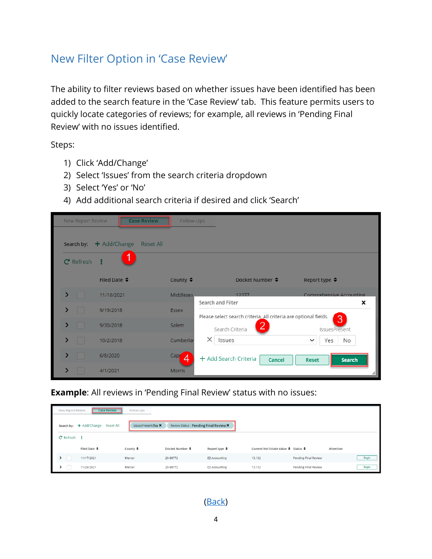# <span id="page-3-0"></span>New Filter Option in 'Case Review'

The ability to filter reviews based on whether issues have been identified has been added to the search feature in the 'Case Review' tab. This feature permits users to quickly locate categories of reviews; for example, all reviews in 'Pending Final Review' with no issues identified.

Steps:

- 1) Click 'Add/Change'
- 2) Select 'Issues' from the search criteria dropdown
- 3) Select 'Yes' or 'No'
- 4) Add additional search criteria if desired and click 'Search'

|   | New Report Review |                        | <b>Case Review</b> | Follow-Ups         |                                                                  |                               |
|---|-------------------|------------------------|--------------------|--------------------|------------------------------------------------------------------|-------------------------------|
|   | Search by:        | $\div$ Add/Change      | Reset All          |                    |                                                                  |                               |
|   | C Refresh         |                        |                    |                    |                                                                  |                               |
|   |                   | Filed Date $\triangle$ |                    | County $\triangle$ | Docket Number ♦                                                  | Report type $\triangle$       |
| ⋗ |                   | 11/10/2021             |                    | Middlesex.         | 12277<br>Search and Filter                                       | Comprehensive Accounting<br>× |
| ⋟ |                   | 9/19/2018              |                    | <b>Essex</b>       | Please select search criteria. All criteria are optional fields. |                               |
| > |                   | 9/30/2018              |                    | <b>Salem</b>       | 2<br>Search Criteria                                             | 3<br>IssuesPresent            |
| ⋗ |                   | 10/2/2018              |                    | Cumberlar          | $\times$<br>Issues                                               | Yes<br>No                     |
|   |                   | 6/8/2020               |                    | Cape<br>4          | + Add Search Criteria<br><b>Cancel</b>                           | Search<br><b>Reset</b>        |
|   |                   | 4/1/2021               |                    | <b>Morris</b>      |                                                                  |                               |

**Example**: All reviews in 'Pending Final Review' status with no issues:

| New Report Review    | <b>Case Review</b>                | Follow-Ups          |                                       |                         |                                     |                             |           |       |
|----------------------|-----------------------------------|---------------------|---------------------------------------|-------------------------|-------------------------------------|-----------------------------|-----------|-------|
|                      | Search by: + Add/Change Reset All | IssuesPresent:No X  | Review Status: Pending Final Review X |                         |                                     |                             |           |       |
| $C$ Refresh $\vdots$ |                                   |                     |                                       |                         |                                     |                             |           |       |
|                      | Filed Date ♦                      | County $\triangleq$ | Docket Number ♦                       | Report type $\clubsuit$ | Current Net Estate Value ♦ Status ♦ |                             | Attention |       |
|                      | 11/17/2021                        | Mercer              | 20-88772                              | <b>EZ Accounting</b>    | 13,132                              | Pending Final Review        |           | Begin |
|                      | 11/24/2021                        | Mercer              | 20-88772                              | <b>EZ Accounting</b>    | 13,132                              | <b>Pending Final Review</b> |           | Begin |

[\(Back\)](#page-0-0)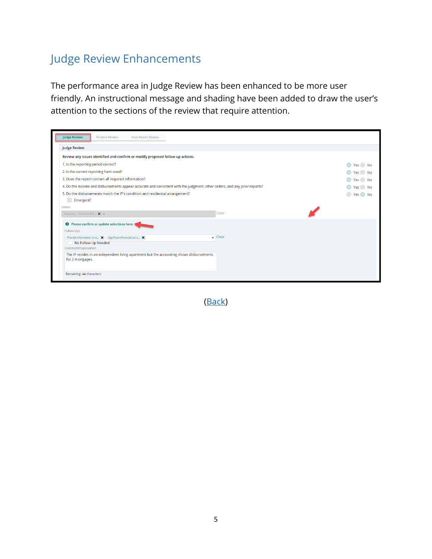# <span id="page-4-0"></span>Judge Review Enhancements

The performance area in Judge Review has been enhanced to be more user friendly. An instructional message and shading have been added to draw the user's attention to the sections of the review that require attention.

| <b>Judge Review</b><br><b>Finance Review</b><br>New Report Review                                                         |        |
|---------------------------------------------------------------------------------------------------------------------------|--------|
| Judge Review                                                                                                              |        |
| Review any issues identified and confirm or modify proposed follow-up actions.                                            |        |
| 1. Is the reporting period correct?                                                                                       | Yes No |
| 2. Is the correct reporting form used?                                                                                    | Yes No |
| 3. Does the report contain all required information?                                                                      | Yes No |
| 4. Do the income and disbursements appear accurate and consistent with the judgment, other orders, and any prior reports? | Yes No |
| 5. Do the disbursements match the IP's condition and residential arrangement?                                             | Yes No |
| Emergent?                                                                                                                 |        |
| <b>Issues</b>                                                                                                             |        |
| Clear<br>Summary - Schedule B-E $\times$                                                                                  |        |
| <b>O</b> Please confirm or update selections here                                                                         |        |
| Follow Ups                                                                                                                |        |
| $\backsim$ Clear<br>Provide information or a X Significant financial conc X                                               |        |
| No Follow Up Needed<br>Comment/Explanation                                                                                |        |
| The IP resides in an independent living apartment but the accounting shows disbursements<br>for 2 mortgages.              |        |
| Remaining: 44 characters                                                                                                  |        |

[\(Back\)](#page-0-0)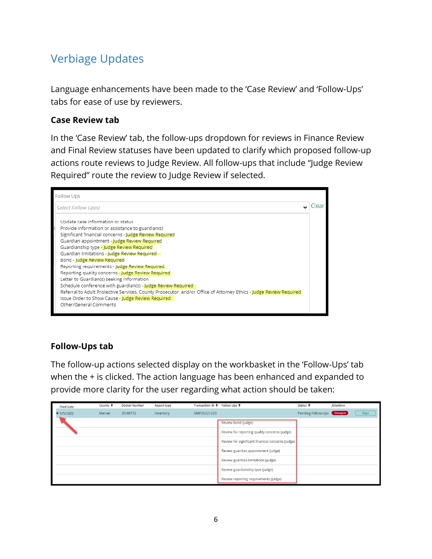# <span id="page-5-0"></span>Verbiage Updates

Language enhancements have been made to the 'Case Review' and 'Follow-Ups' tabs for ease of use by reviewers.

#### **Case Review tab**

In the 'Case Review' tab, the follow-ups dropdown for reviews in Finance Review and Final Review statuses have been updated to clarify which proposed follow-up actions route reviews to Judge Review. All follow-ups that include "Judge Review Required" route the review to Judge Review if selected.



### **Follow-Ups tab**

The follow-up actions selected display on the workbasket in the 'Follow-Ups' tab when the + is clicked. The action language has been enhanced and expanded to provide more clarity for the user regarding what action should be taken:

| <b>Filed Date</b> | County $\triangleq$ | Docket Number | Report type | Transaction ID $\div$ Follow Ups $\div$ |                                                   | Status $\div$               | Attention |              |
|-------------------|---------------------|---------------|-------------|-----------------------------------------|---------------------------------------------------|-----------------------------|-----------|--------------|
| $+5/5/2022$       | Mercer              | 20-88772      | Inventory   | GMP20221223                             |                                                   | Pending Follow-Ups Emergent |           | <b>Begin</b> |
|                   |                     |               |             |                                         | Review bond (judge)                               |                             |           |              |
|                   |                     |               |             |                                         | Review for reporting quality concerns (judge)     |                             |           |              |
|                   |                     |               |             |                                         | Review for significant financial concerns (judge) |                             |           |              |
|                   |                     |               |             |                                         | Review guardian appointment (judge)               |                             |           |              |
|                   |                     |               |             |                                         | Review guardian limitations (judge)               |                             |           |              |
|                   |                     |               |             |                                         | Review guardianship type (judge)                  |                             |           |              |
|                   |                     |               |             |                                         | Review reporting requirements (judge)             |                             |           |              |